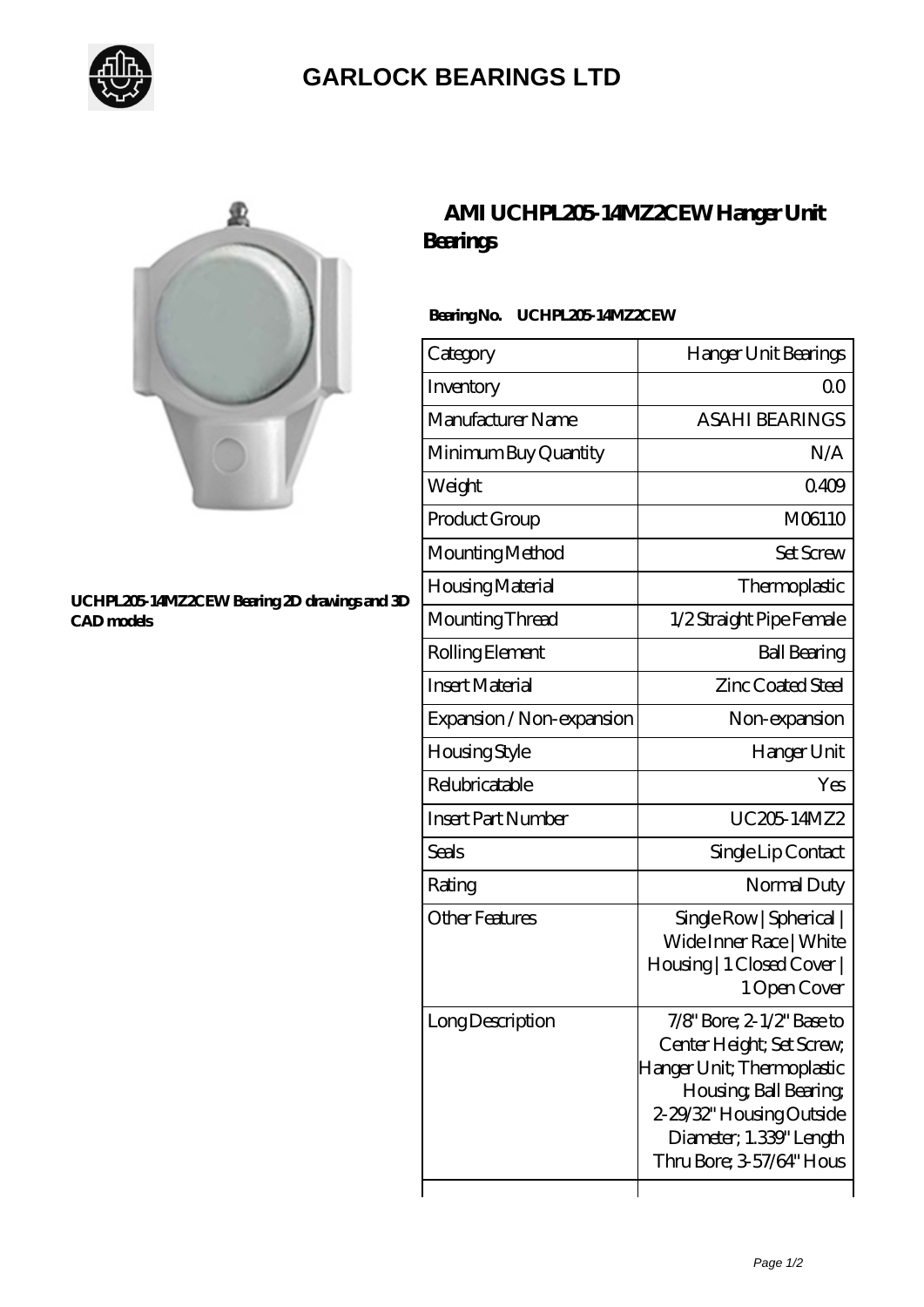

## **[GARLOCK BEARINGS LTD](https://m.letterstopriests.com)**



#### **[UCHPL205-14MZ2CEW Bearing 2D drawings and 3D](https://m.letterstopriests.com/pic-189142.html) [CAD models](https://m.letterstopriests.com/pic-189142.html)**

## **[AMI UCHPL205-14MZ2CEW Hanger Unit](https://m.letterstopriests.com/af-189142-ami-uchpl205-14mz2cew-hanger-unit-bearings.html) [Bearings](https://m.letterstopriests.com/af-189142-ami-uchpl205-14mz2cew-hanger-unit-bearings.html)**

### **Bearing No. UCHPL205-14MZ2CEW**

| Category                  | Hanger Unit Bearings                                                                                                                                                                              |
|---------------------------|---------------------------------------------------------------------------------------------------------------------------------------------------------------------------------------------------|
| Inventory                 | Q0                                                                                                                                                                                                |
| Manufacturer Name         | <b>ASAHI BEARINGS</b>                                                                                                                                                                             |
| Minimum Buy Quantity      | N/A                                                                                                                                                                                               |
| Weight                    | 0409                                                                                                                                                                                              |
| Product Group             | M06110                                                                                                                                                                                            |
| Mounting Method           | <b>Set Screw</b>                                                                                                                                                                                  |
| Housing Material          | Thermoplastic                                                                                                                                                                                     |
| Mounting Thread           | 1/2 Straight Pipe Female                                                                                                                                                                          |
| Rolling Element           | <b>Ball Bearing</b>                                                                                                                                                                               |
| <b>Insert Material</b>    | <b>Zinc Coated Steel</b>                                                                                                                                                                          |
| Expansion / Non-expansion | Non-expansion                                                                                                                                                                                     |
| <b>Housing Style</b>      | Hanger Unit                                                                                                                                                                                       |
| Relubricatable            | Yes                                                                                                                                                                                               |
| <b>Insert Part Number</b> | UC20514MZ2                                                                                                                                                                                        |
| Seals                     | Single Lip Contact                                                                                                                                                                                |
| Rating                    | Normal Duty                                                                                                                                                                                       |
| <b>Other Features</b>     | Single Row   Spherical  <br>Wide Inner Race   White<br>Housing   1 Closed Cover  <br>1 Open Cover                                                                                                 |
| Long Description          | 7/8" Bore; 2-1/2" Base to<br>Center Height; Set Screw,<br>Hanger Unit; Thermoplastic<br>Housing, Ball Bearing,<br>2-29/32" Housing Outside<br>Diameter; 1.339" Length<br>Thru Bore; 3-57/64" Hous |